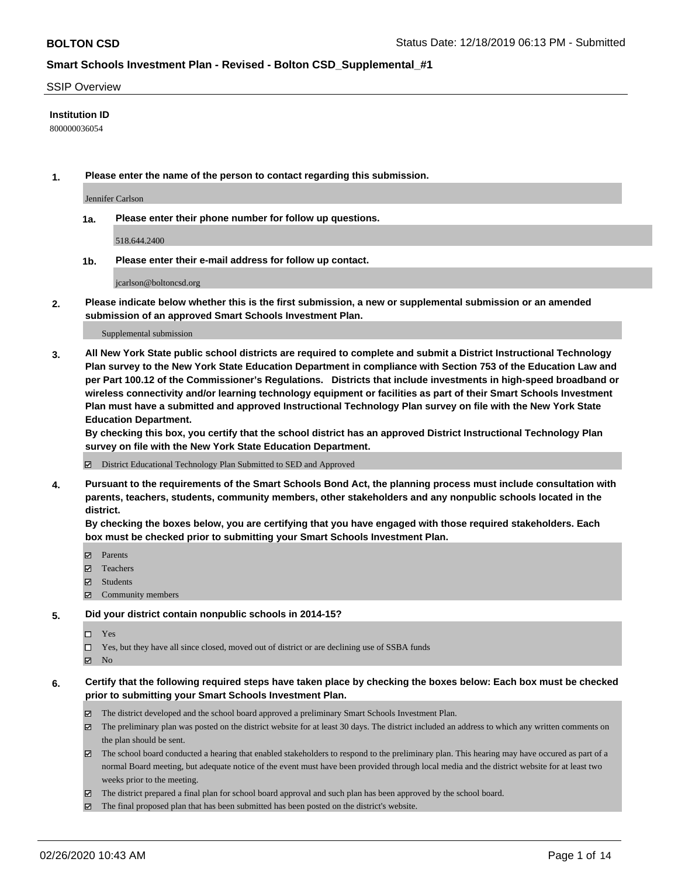### SSIP Overview

### **Institution ID**

800000036054

**1. Please enter the name of the person to contact regarding this submission.**

Jennifer Carlson

**1a. Please enter their phone number for follow up questions.**

518.644.2400

**1b. Please enter their e-mail address for follow up contact.**

jcarlson@boltoncsd.org

**2. Please indicate below whether this is the first submission, a new or supplemental submission or an amended submission of an approved Smart Schools Investment Plan.**

#### Supplemental submission

**3. All New York State public school districts are required to complete and submit a District Instructional Technology Plan survey to the New York State Education Department in compliance with Section 753 of the Education Law and per Part 100.12 of the Commissioner's Regulations. Districts that include investments in high-speed broadband or wireless connectivity and/or learning technology equipment or facilities as part of their Smart Schools Investment Plan must have a submitted and approved Instructional Technology Plan survey on file with the New York State Education Department.** 

**By checking this box, you certify that the school district has an approved District Instructional Technology Plan survey on file with the New York State Education Department.**

District Educational Technology Plan Submitted to SED and Approved

**4. Pursuant to the requirements of the Smart Schools Bond Act, the planning process must include consultation with parents, teachers, students, community members, other stakeholders and any nonpublic schools located in the district.** 

**By checking the boxes below, you are certifying that you have engaged with those required stakeholders. Each box must be checked prior to submitting your Smart Schools Investment Plan.**

- **マ** Parents
- Teachers
- Students
- Community members

### **5. Did your district contain nonpublic schools in 2014-15?**

 $\neg$  Yes

Yes, but they have all since closed, moved out of district or are declining use of SSBA funds

**Z** No

### **6. Certify that the following required steps have taken place by checking the boxes below: Each box must be checked prior to submitting your Smart Schools Investment Plan.**

- The district developed and the school board approved a preliminary Smart Schools Investment Plan.
- $\boxtimes$  The preliminary plan was posted on the district website for at least 30 days. The district included an address to which any written comments on the plan should be sent.
- $\boxtimes$  The school board conducted a hearing that enabled stakeholders to respond to the preliminary plan. This hearing may have occured as part of a normal Board meeting, but adequate notice of the event must have been provided through local media and the district website for at least two weeks prior to the meeting.
- The district prepared a final plan for school board approval and such plan has been approved by the school board.
- The final proposed plan that has been submitted has been posted on the district's website.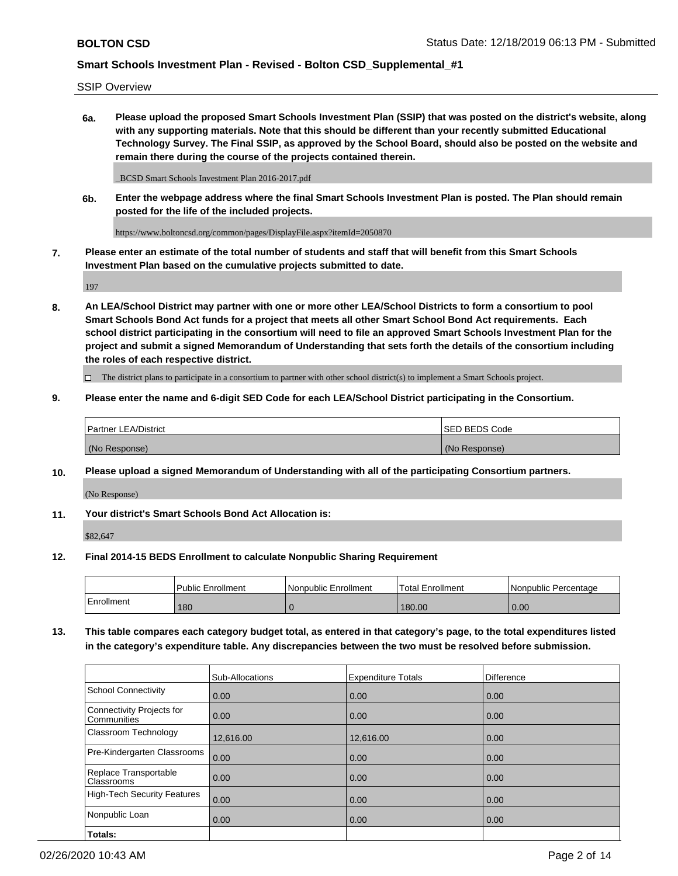SSIP Overview

**6a. Please upload the proposed Smart Schools Investment Plan (SSIP) that was posted on the district's website, along with any supporting materials. Note that this should be different than your recently submitted Educational Technology Survey. The Final SSIP, as approved by the School Board, should also be posted on the website and remain there during the course of the projects contained therein.**

\_BCSD Smart Schools Investment Plan 2016-2017.pdf

**6b. Enter the webpage address where the final Smart Schools Investment Plan is posted. The Plan should remain posted for the life of the included projects.**

https://www.boltoncsd.org/common/pages/DisplayFile.aspx?itemId=2050870

**7. Please enter an estimate of the total number of students and staff that will benefit from this Smart Schools Investment Plan based on the cumulative projects submitted to date.**

197

**8. An LEA/School District may partner with one or more other LEA/School Districts to form a consortium to pool Smart Schools Bond Act funds for a project that meets all other Smart School Bond Act requirements. Each school district participating in the consortium will need to file an approved Smart Schools Investment Plan for the project and submit a signed Memorandum of Understanding that sets forth the details of the consortium including the roles of each respective district.**

 $\Box$  The district plans to participate in a consortium to partner with other school district(s) to implement a Smart Schools project.

### **9. Please enter the name and 6-digit SED Code for each LEA/School District participating in the Consortium.**

| Partner LEA/District | <b>ISED BEDS Code</b> |
|----------------------|-----------------------|
| (No Response)        | (No Response)         |

## **10. Please upload a signed Memorandum of Understanding with all of the participating Consortium partners.**

(No Response)

**11. Your district's Smart Schools Bond Act Allocation is:**

\$82,647

### **12. Final 2014-15 BEDS Enrollment to calculate Nonpublic Sharing Requirement**

|            | <b>Public Enrollment</b> | Nonpublic Enrollment | <b>Total Enrollment</b> | l Nonpublic Percentage |
|------------|--------------------------|----------------------|-------------------------|------------------------|
| Enrollment | 180                      |                      | 180.00                  | 0.00                   |

**13. This table compares each category budget total, as entered in that category's page, to the total expenditures listed in the category's expenditure table. Any discrepancies between the two must be resolved before submission.**

|                                          | Sub-Allocations | <b>Expenditure Totals</b> | <b>Difference</b> |
|------------------------------------------|-----------------|---------------------------|-------------------|
| <b>School Connectivity</b>               | 0.00            | 0.00                      | 0.00              |
| Connectivity Projects for<br>Communities | 0.00            | 0.00                      | 0.00              |
| Classroom Technology                     | 12,616.00       | 12,616.00                 | 0.00              |
| Pre-Kindergarten Classrooms              | 0.00            | 0.00                      | 0.00              |
| Replace Transportable<br>Classrooms      | 0.00            | 0.00                      | 0.00              |
| <b>High-Tech Security Features</b>       | 0.00            | 0.00                      | 0.00              |
| Nonpublic Loan                           | 0.00            | 0.00                      | 0.00              |
| Totals:                                  |                 |                           |                   |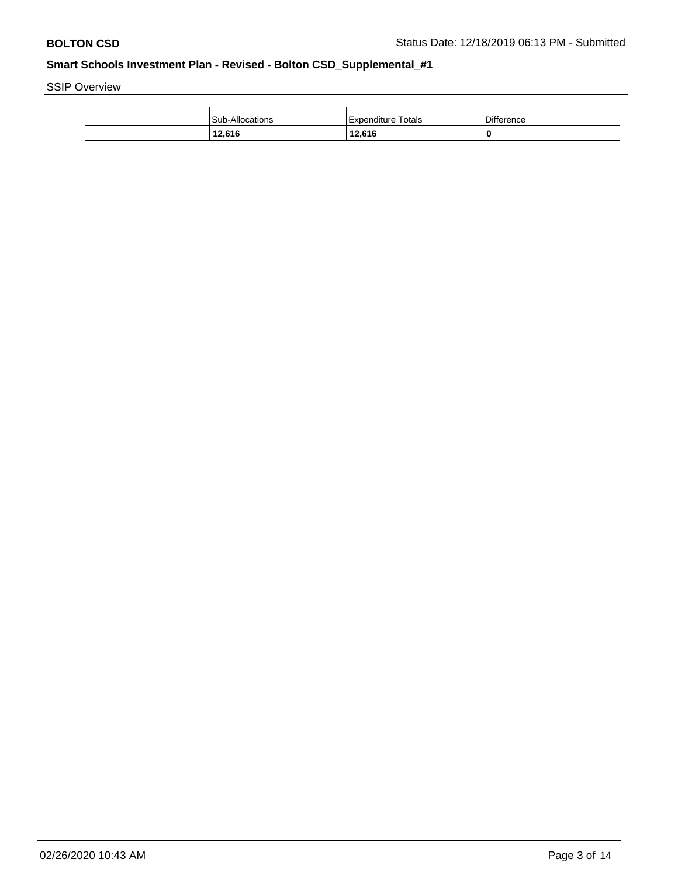SSIP Overview

| <b>Sub-Allocations</b> | Expenditure Totals | <b>Difference</b> |
|------------------------|--------------------|-------------------|
| 12,616                 | 12,616             | 0                 |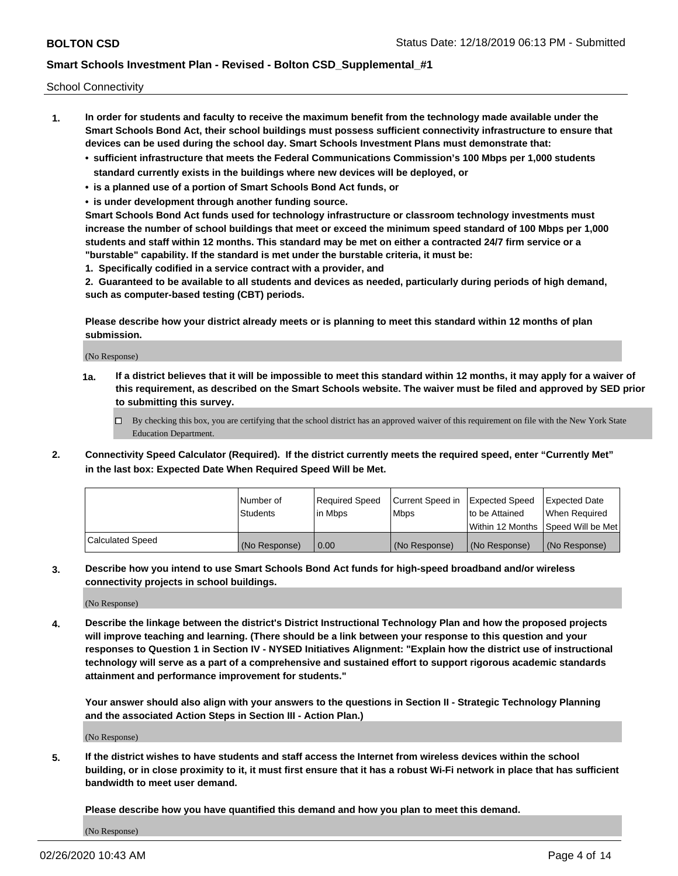School Connectivity

- **1. In order for students and faculty to receive the maximum benefit from the technology made available under the Smart Schools Bond Act, their school buildings must possess sufficient connectivity infrastructure to ensure that devices can be used during the school day. Smart Schools Investment Plans must demonstrate that:**
	- **• sufficient infrastructure that meets the Federal Communications Commission's 100 Mbps per 1,000 students standard currently exists in the buildings where new devices will be deployed, or**
	- **• is a planned use of a portion of Smart Schools Bond Act funds, or**
	- **• is under development through another funding source.**

**Smart Schools Bond Act funds used for technology infrastructure or classroom technology investments must increase the number of school buildings that meet or exceed the minimum speed standard of 100 Mbps per 1,000 students and staff within 12 months. This standard may be met on either a contracted 24/7 firm service or a "burstable" capability. If the standard is met under the burstable criteria, it must be:**

**1. Specifically codified in a service contract with a provider, and**

**2. Guaranteed to be available to all students and devices as needed, particularly during periods of high demand, such as computer-based testing (CBT) periods.**

**Please describe how your district already meets or is planning to meet this standard within 12 months of plan submission.**

(No Response)

**1a. If a district believes that it will be impossible to meet this standard within 12 months, it may apply for a waiver of this requirement, as described on the Smart Schools website. The waiver must be filed and approved by SED prior to submitting this survey.**

 $\Box$  By checking this box, you are certifying that the school district has an approved waiver of this requirement on file with the New York State Education Department.

**2. Connectivity Speed Calculator (Required). If the district currently meets the required speed, enter "Currently Met" in the last box: Expected Date When Required Speed Will be Met.**

|                  | l Number of     | Required Speed | Current Speed in | Expected Speed  | Expected Date                           |
|------------------|-----------------|----------------|------------------|-----------------|-----------------------------------------|
|                  | <b>Students</b> | In Mbps        | l Mbps           | to be Attained  | When Required                           |
|                  |                 |                |                  |                 | l Within 12 Months ISpeed Will be Met l |
| Calculated Speed | (No Response)   | 0.00           | (No Response)    | l (No Response) | l (No Response)                         |

**3. Describe how you intend to use Smart Schools Bond Act funds for high-speed broadband and/or wireless connectivity projects in school buildings.**

(No Response)

**4. Describe the linkage between the district's District Instructional Technology Plan and how the proposed projects will improve teaching and learning. (There should be a link between your response to this question and your responses to Question 1 in Section IV - NYSED Initiatives Alignment: "Explain how the district use of instructional technology will serve as a part of a comprehensive and sustained effort to support rigorous academic standards attainment and performance improvement for students."** 

**Your answer should also align with your answers to the questions in Section II - Strategic Technology Planning and the associated Action Steps in Section III - Action Plan.)**

(No Response)

**5. If the district wishes to have students and staff access the Internet from wireless devices within the school building, or in close proximity to it, it must first ensure that it has a robust Wi-Fi network in place that has sufficient bandwidth to meet user demand.**

**Please describe how you have quantified this demand and how you plan to meet this demand.**

(No Response)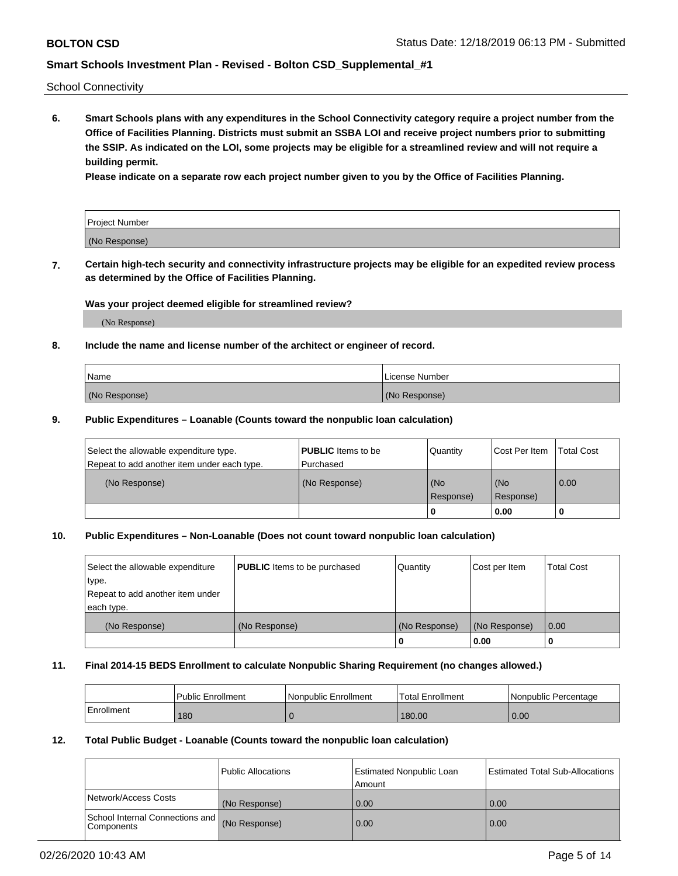School Connectivity

**6. Smart Schools plans with any expenditures in the School Connectivity category require a project number from the Office of Facilities Planning. Districts must submit an SSBA LOI and receive project numbers prior to submitting the SSIP. As indicated on the LOI, some projects may be eligible for a streamlined review and will not require a building permit.**

**Please indicate on a separate row each project number given to you by the Office of Facilities Planning.**

| Project Number |  |
|----------------|--|
| (No Response)  |  |

**7. Certain high-tech security and connectivity infrastructure projects may be eligible for an expedited review process as determined by the Office of Facilities Planning.**

### **Was your project deemed eligible for streamlined review?**

(No Response)

## **8. Include the name and license number of the architect or engineer of record.**

| Name          | License Number |
|---------------|----------------|
| (No Response) | (No Response)  |

### **9. Public Expenditures – Loanable (Counts toward the nonpublic loan calculation)**

| Select the allowable expenditure type.<br>Repeat to add another item under each type. | <b>PUBLIC</b> Items to be<br>l Purchased | Quantity         | l Cost Per Item  | <b>Total Cost</b> |
|---------------------------------------------------------------------------------------|------------------------------------------|------------------|------------------|-------------------|
| (No Response)                                                                         | (No Response)                            | (No<br>Response) | (No<br>Response) | 0.00              |
|                                                                                       |                                          | 0                | 0.00             |                   |

## **10. Public Expenditures – Non-Loanable (Does not count toward nonpublic loan calculation)**

| Select the allowable expenditure<br>type.<br>Repeat to add another item under<br>each type. | <b>PUBLIC</b> Items to be purchased | Quantity      | Cost per Item | <b>Total Cost</b> |
|---------------------------------------------------------------------------------------------|-------------------------------------|---------------|---------------|-------------------|
| (No Response)                                                                               | (No Response)                       | (No Response) | (No Response) | 0.00              |
|                                                                                             |                                     |               | 0.00          |                   |

### **11. Final 2014-15 BEDS Enrollment to calculate Nonpublic Sharing Requirement (no changes allowed.)**

|            | l Public Enrollment | Nonpublic Enrollment | Total Enrollment | l Nonpublic Percentage |
|------------|---------------------|----------------------|------------------|------------------------|
| Enrollment | 180                 |                      | 180.00           | 0.00                   |

### **12. Total Public Budget - Loanable (Counts toward the nonpublic loan calculation)**

|                                               | Public Allocations | <b>Estimated Nonpublic Loan</b><br>Amount | Estimated Total Sub-Allocations |
|-----------------------------------------------|--------------------|-------------------------------------------|---------------------------------|
| Network/Access Costs                          | (No Response)      | 0.00                                      | 0.00                            |
| School Internal Connections and<br>Components | (No Response)      | 0.00                                      | 0.00                            |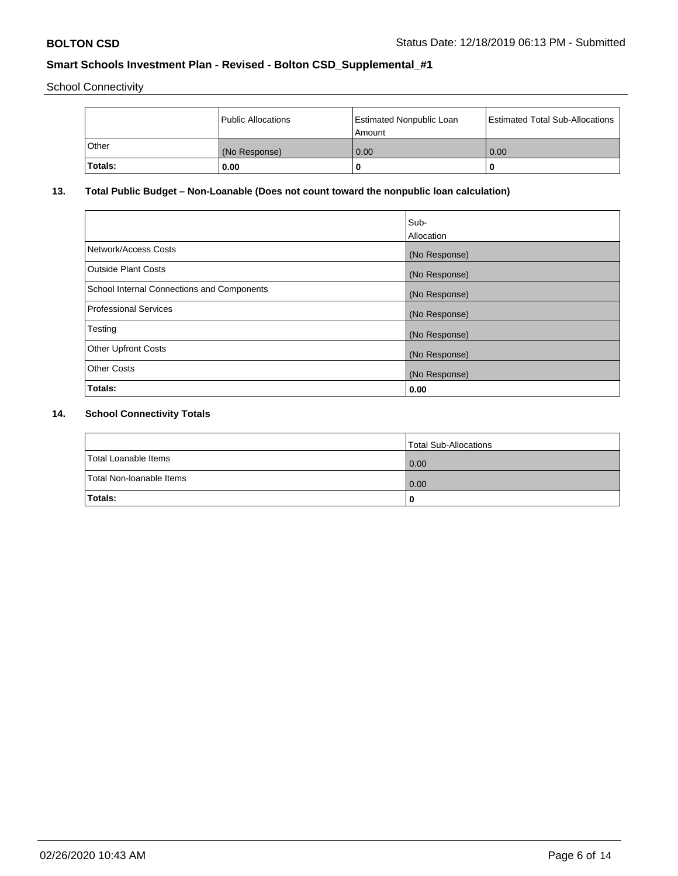School Connectivity

|         | Public Allocations | <b>Estimated Nonpublic Loan</b><br>l Amount | <b>Estimated Total Sub-Allocations</b> |
|---------|--------------------|---------------------------------------------|----------------------------------------|
| l Other | (No Response)      | 0.00                                        | 0.00                                   |
| Totals: | 0.00               | 0                                           |                                        |

# **13. Total Public Budget – Non-Loanable (Does not count toward the nonpublic loan calculation)**

|                                                   | Sub-<br>Allocation |
|---------------------------------------------------|--------------------|
| Network/Access Costs                              | (No Response)      |
| Outside Plant Costs                               | (No Response)      |
| <b>School Internal Connections and Components</b> | (No Response)      |
| Professional Services                             | (No Response)      |
| Testing                                           | (No Response)      |
| <b>Other Upfront Costs</b>                        | (No Response)      |
| <b>Other Costs</b>                                | (No Response)      |
| Totals:                                           | 0.00               |

# **14. School Connectivity Totals**

|                          | Total Sub-Allocations |
|--------------------------|-----------------------|
| Total Loanable Items     | $\overline{0.00}$     |
| Total Non-Ioanable Items | $\overline{0.00}$     |
| Totals:                  |                       |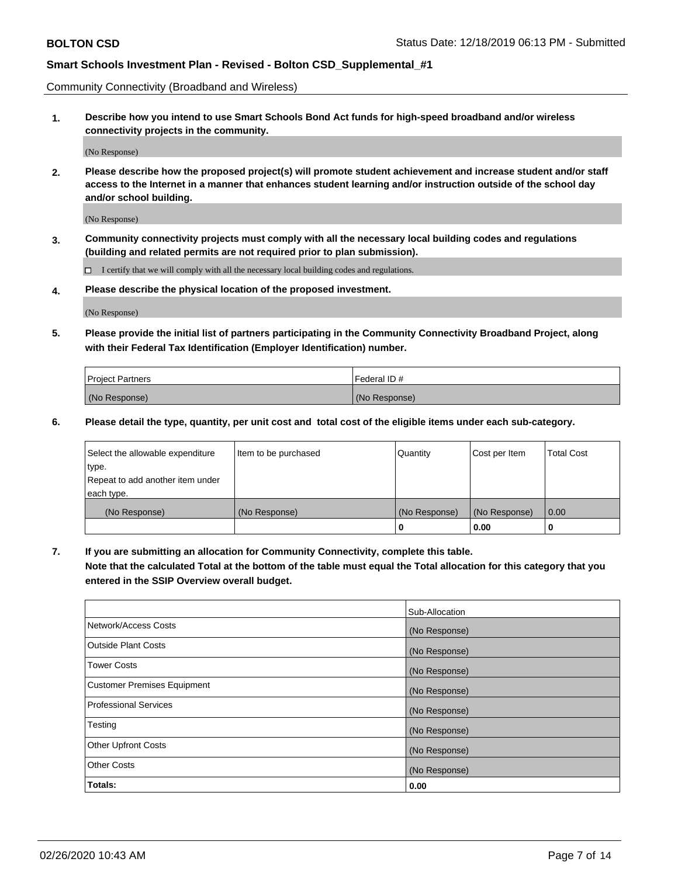Community Connectivity (Broadband and Wireless)

**1. Describe how you intend to use Smart Schools Bond Act funds for high-speed broadband and/or wireless connectivity projects in the community.**

(No Response)

**2. Please describe how the proposed project(s) will promote student achievement and increase student and/or staff access to the Internet in a manner that enhances student learning and/or instruction outside of the school day and/or school building.**

(No Response)

**3. Community connectivity projects must comply with all the necessary local building codes and regulations (building and related permits are not required prior to plan submission).**

 $\Box$  I certify that we will comply with all the necessary local building codes and regulations.

**4. Please describe the physical location of the proposed investment.**

(No Response)

**5. Please provide the initial list of partners participating in the Community Connectivity Broadband Project, along with their Federal Tax Identification (Employer Identification) number.**

| <b>Project Partners</b> | l Federal ID # |
|-------------------------|----------------|
| (No Response)           | (No Response)  |

**6. Please detail the type, quantity, per unit cost and total cost of the eligible items under each sub-category.**

| Select the allowable expenditure | Item to be purchased | Quantity      | Cost per Item | <b>Total Cost</b> |
|----------------------------------|----------------------|---------------|---------------|-------------------|
| type.                            |                      |               |               |                   |
| Repeat to add another item under |                      |               |               |                   |
| each type.                       |                      |               |               |                   |
| (No Response)                    | (No Response)        | (No Response) | (No Response) | 0.00              |
|                                  |                      | U             | 0.00          |                   |

**7. If you are submitting an allocation for Community Connectivity, complete this table.**

**Note that the calculated Total at the bottom of the table must equal the Total allocation for this category that you entered in the SSIP Overview overall budget.**

|                                    | Sub-Allocation |
|------------------------------------|----------------|
| Network/Access Costs               | (No Response)  |
| Outside Plant Costs                | (No Response)  |
| <b>Tower Costs</b>                 | (No Response)  |
| <b>Customer Premises Equipment</b> | (No Response)  |
| <b>Professional Services</b>       | (No Response)  |
| Testing                            | (No Response)  |
| <b>Other Upfront Costs</b>         | (No Response)  |
| <b>Other Costs</b>                 | (No Response)  |
| Totals:                            | 0.00           |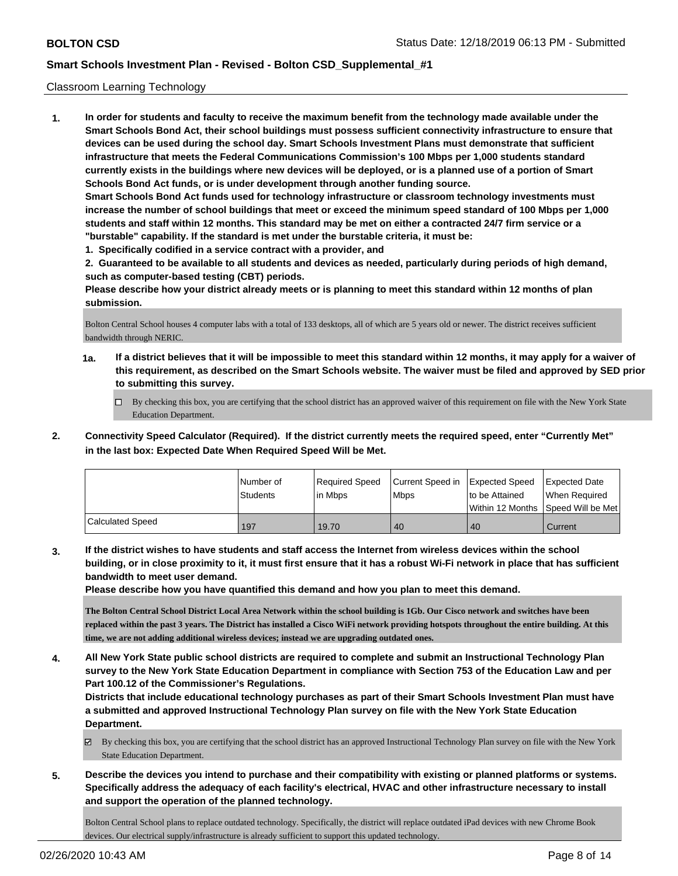### Classroom Learning Technology

**1. In order for students and faculty to receive the maximum benefit from the technology made available under the Smart Schools Bond Act, their school buildings must possess sufficient connectivity infrastructure to ensure that devices can be used during the school day. Smart Schools Investment Plans must demonstrate that sufficient infrastructure that meets the Federal Communications Commission's 100 Mbps per 1,000 students standard currently exists in the buildings where new devices will be deployed, or is a planned use of a portion of Smart Schools Bond Act funds, or is under development through another funding source. Smart Schools Bond Act funds used for technology infrastructure or classroom technology investments must increase the number of school buildings that meet or exceed the minimum speed standard of 100 Mbps per 1,000 students and staff within 12 months. This standard may be met on either a contracted 24/7 firm service or a "burstable" capability. If the standard is met under the burstable criteria, it must be:**

**1. Specifically codified in a service contract with a provider, and**

**2. Guaranteed to be available to all students and devices as needed, particularly during periods of high demand, such as computer-based testing (CBT) periods.**

**Please describe how your district already meets or is planning to meet this standard within 12 months of plan submission.**

Bolton Central School houses 4 computer labs with a total of 133 desktops, all of which are 5 years old or newer. The district receives sufficient bandwidth through NERIC.

- **1a. If a district believes that it will be impossible to meet this standard within 12 months, it may apply for a waiver of this requirement, as described on the Smart Schools website. The waiver must be filed and approved by SED prior to submitting this survey.**
	- By checking this box, you are certifying that the school district has an approved waiver of this requirement on file with the New York State Education Department.
- **2. Connectivity Speed Calculator (Required). If the district currently meets the required speed, enter "Currently Met" in the last box: Expected Date When Required Speed Will be Met.**

|                  | l Number of<br>Students | Required Speed<br>l in Mbps | Current Speed in<br>Mbps | <b>Expected Speed</b><br>to be Attained | <b>Expected Date</b><br>When Required<br> Within 12 Months  Speed Will be Met |
|------------------|-------------------------|-----------------------------|--------------------------|-----------------------------------------|-------------------------------------------------------------------------------|
| Calculated Speed | 197                     | 19.70                       | 40                       | 40                                      | Current                                                                       |

**3. If the district wishes to have students and staff access the Internet from wireless devices within the school building, or in close proximity to it, it must first ensure that it has a robust Wi-Fi network in place that has sufficient bandwidth to meet user demand.**

**Please describe how you have quantified this demand and how you plan to meet this demand.**

**The Bolton Central School District Local Area Network within the school building is 1Gb. Our Cisco network and switches have been replaced within the past 3 years. The District has installed a Cisco WiFi network providing hotspots throughout the entire building. At this time, we are not adding additional wireless devices; instead we are upgrading outdated ones.**

**4. All New York State public school districts are required to complete and submit an Instructional Technology Plan survey to the New York State Education Department in compliance with Section 753 of the Education Law and per Part 100.12 of the Commissioner's Regulations.**

**Districts that include educational technology purchases as part of their Smart Schools Investment Plan must have a submitted and approved Instructional Technology Plan survey on file with the New York State Education Department.**

By checking this box, you are certifying that the school district has an approved Instructional Technology Plan survey on file with the New York State Education Department.

**5. Describe the devices you intend to purchase and their compatibility with existing or planned platforms or systems. Specifically address the adequacy of each facility's electrical, HVAC and other infrastructure necessary to install and support the operation of the planned technology.**

Bolton Central School plans to replace outdated technology. Specifically, the district will replace outdated iPad devices with new Chrome Book devices. Our electrical supply/infrastructure is already sufficient to support this updated technology.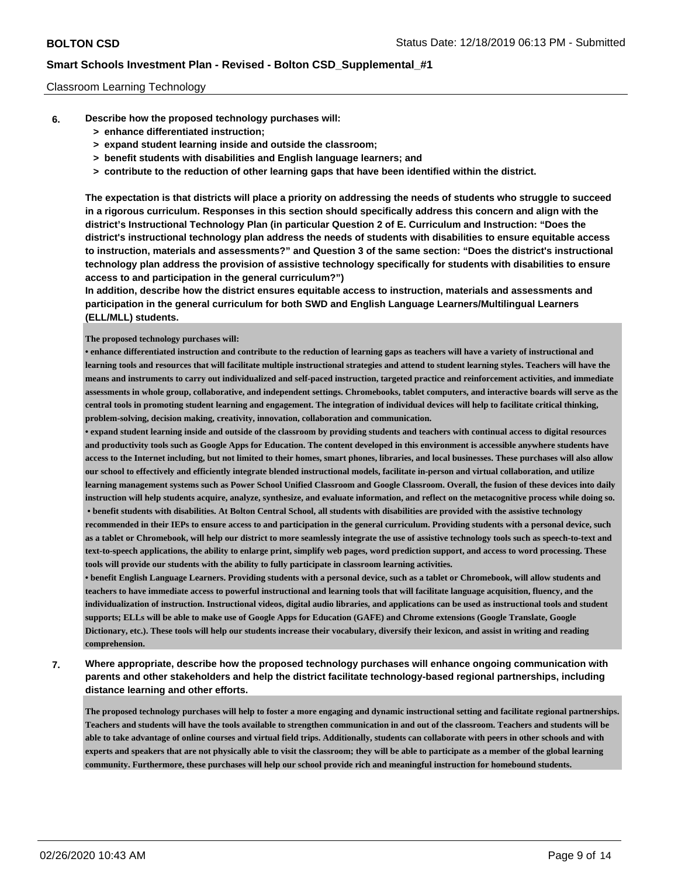## Classroom Learning Technology

- **6. Describe how the proposed technology purchases will:**
	- **> enhance differentiated instruction;**
	- **> expand student learning inside and outside the classroom;**
	- **> benefit students with disabilities and English language learners; and**
	- **> contribute to the reduction of other learning gaps that have been identified within the district.**

**The expectation is that districts will place a priority on addressing the needs of students who struggle to succeed in a rigorous curriculum. Responses in this section should specifically address this concern and align with the district's Instructional Technology Plan (in particular Question 2 of E. Curriculum and Instruction: "Does the district's instructional technology plan address the needs of students with disabilities to ensure equitable access to instruction, materials and assessments?" and Question 3 of the same section: "Does the district's instructional technology plan address the provision of assistive technology specifically for students with disabilities to ensure access to and participation in the general curriculum?")**

**In addition, describe how the district ensures equitable access to instruction, materials and assessments and participation in the general curriculum for both SWD and English Language Learners/Multilingual Learners (ELL/MLL) students.**

### **The proposed technology purchases will:**

**• enhance differentiated instruction and contribute to the reduction of learning gaps as teachers will have a variety of instructional and learning tools and resources that will facilitate multiple instructional strategies and attend to student learning styles. Teachers will have the means and instruments to carry out individualized and self-paced instruction, targeted practice and reinforcement activities, and immediate assessments in whole group, collaborative, and independent settings. Chromebooks, tablet computers, and interactive boards will serve as the central tools in promoting student learning and engagement. The integration of individual devices will help to facilitate critical thinking, problem-solving, decision making, creativity, innovation, collaboration and communication.** 

**• expand student learning inside and outside of the classroom by providing students and teachers with continual access to digital resources and productivity tools such as Google Apps for Education. The content developed in this environment is accessible anywhere students have access to the Internet including, but not limited to their homes, smart phones, libraries, and local businesses. These purchases will also allow our school to effectively and efficiently integrate blended instructional models, facilitate in-person and virtual collaboration, and utilize learning management systems such as Power School Unified Classroom and Google Classroom. Overall, the fusion of these devices into daily instruction will help students acquire, analyze, synthesize, and evaluate information, and reflect on the metacognitive process while doing so. • benefit students with disabilities. At Bolton Central School, all students with disabilities are provided with the assistive technology**

**recommended in their IEPs to ensure access to and participation in the general curriculum. Providing students with a personal device, such as a tablet or Chromebook, will help our district to more seamlessly integrate the use of assistive technology tools such as speech-to-text and text-to-speech applications, the ability to enlarge print, simplify web pages, word prediction support, and access to word processing. These tools will provide our students with the ability to fully participate in classroom learning activities.** 

**• benefit English Language Learners. Providing students with a personal device, such as a tablet or Chromebook, will allow students and teachers to have immediate access to powerful instructional and learning tools that will facilitate language acquisition, fluency, and the individualization of instruction. Instructional videos, digital audio libraries, and applications can be used as instructional tools and student supports; ELLs will be able to make use of Google Apps for Education (GAFE) and Chrome extensions (Google Translate, Google Dictionary, etc.). These tools will help our students increase their vocabulary, diversify their lexicon, and assist in writing and reading comprehension.**

**7. Where appropriate, describe how the proposed technology purchases will enhance ongoing communication with parents and other stakeholders and help the district facilitate technology-based regional partnerships, including distance learning and other efforts.**

**The proposed technology purchases will help to foster a more engaging and dynamic instructional setting and facilitate regional partnerships. Teachers and students will have the tools available to strengthen communication in and out of the classroom. Teachers and students will be able to take advantage of online courses and virtual field trips. Additionally, students can collaborate with peers in other schools and with experts and speakers that are not physically able to visit the classroom; they will be able to participate as a member of the global learning community. Furthermore, these purchases will help our school provide rich and meaningful instruction for homebound students.**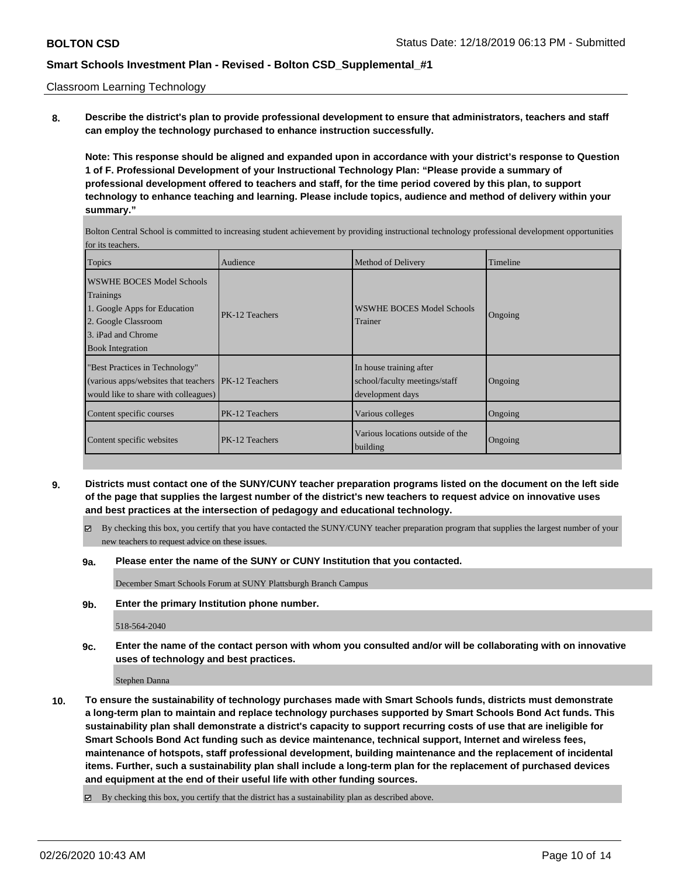Classroom Learning Technology

**8. Describe the district's plan to provide professional development to ensure that administrators, teachers and staff can employ the technology purchased to enhance instruction successfully.**

**Note: This response should be aligned and expanded upon in accordance with your district's response to Question 1 of F. Professional Development of your Instructional Technology Plan: "Please provide a summary of professional development offered to teachers and staff, for the time period covered by this plan, to support technology to enhance teaching and learning. Please include topics, audience and method of delivery within your summary."**

Bolton Central School is committed to increasing student achievement by providing instructional technology professional development opportunities for its teachers.

| <b>Topics</b>                                                                                                                                  | Audience              | Method of Delivery                                                           | Timeline |
|------------------------------------------------------------------------------------------------------------------------------------------------|-----------------------|------------------------------------------------------------------------------|----------|
| WSWHE BOCES Model Schools<br>Trainings<br>1. Google Apps for Education<br>2. Google Classroom<br>3. iPad and Chrome<br><b>Book Integration</b> | PK-12 Teachers        | WSWHE BOCES Model Schools<br>Trainer                                         | Ongoing  |
| "Best Practices in Technology"<br>(various apps/websites that teachers)<br>would like to share with colleagues)                                | <b>PK-12 Teachers</b> | In house training after<br>school/faculty meetings/staff<br>development days | Ongoing  |
| Content specific courses                                                                                                                       | PK-12 Teachers        | Various colleges                                                             | Ongoing  |
| Content specific websites                                                                                                                      | PK-12 Teachers        | Various locations outside of the<br>building                                 | Ongoing  |

- **9. Districts must contact one of the SUNY/CUNY teacher preparation programs listed on the document on the left side of the page that supplies the largest number of the district's new teachers to request advice on innovative uses and best practices at the intersection of pedagogy and educational technology.**
	- By checking this box, you certify that you have contacted the SUNY/CUNY teacher preparation program that supplies the largest number of your new teachers to request advice on these issues.
	- **9a. Please enter the name of the SUNY or CUNY Institution that you contacted.**

December Smart Schools Forum at SUNY Plattsburgh Branch Campus

**9b. Enter the primary Institution phone number.**

518-564-2040

**9c. Enter the name of the contact person with whom you consulted and/or will be collaborating with on innovative uses of technology and best practices.**

Stephen Danna

**10. To ensure the sustainability of technology purchases made with Smart Schools funds, districts must demonstrate a long-term plan to maintain and replace technology purchases supported by Smart Schools Bond Act funds. This sustainability plan shall demonstrate a district's capacity to support recurring costs of use that are ineligible for Smart Schools Bond Act funding such as device maintenance, technical support, Internet and wireless fees, maintenance of hotspots, staff professional development, building maintenance and the replacement of incidental items. Further, such a sustainability plan shall include a long-term plan for the replacement of purchased devices and equipment at the end of their useful life with other funding sources.**

By checking this box, you certify that the district has a sustainability plan as described above.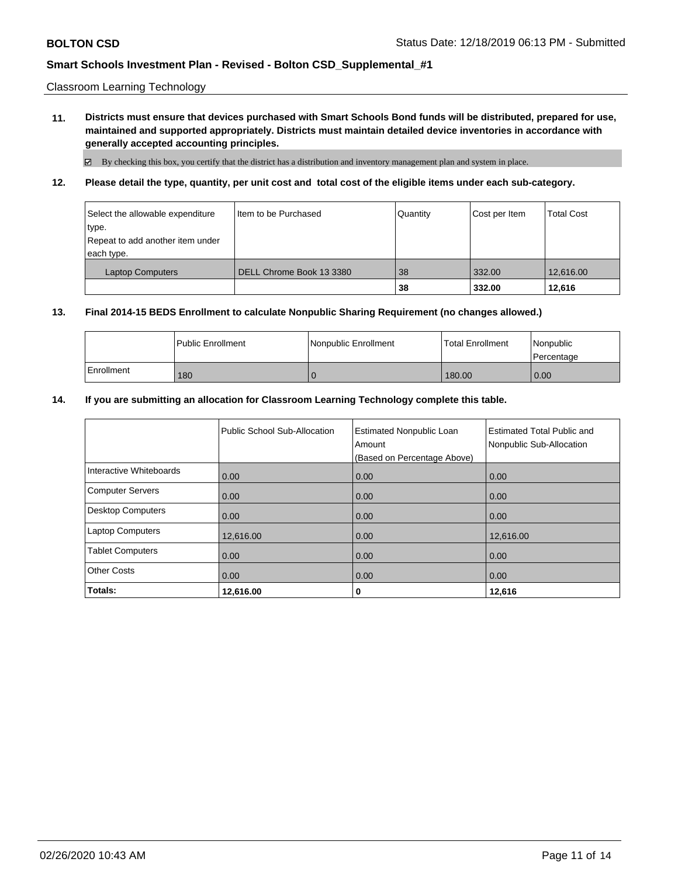Classroom Learning Technology

**11. Districts must ensure that devices purchased with Smart Schools Bond funds will be distributed, prepared for use, maintained and supported appropriately. Districts must maintain detailed device inventories in accordance with generally accepted accounting principles.**

 $\boxtimes$  By checking this box, you certify that the district has a distribution and inventory management plan and system in place.

**12. Please detail the type, quantity, per unit cost and total cost of the eligible items under each sub-category.**

| Select the allowable expenditure<br>type.<br>Repeat to add another item under<br>each type. | I Item to be Purchased   | Quantity | Cost per Item | <b>Total Cost</b> |
|---------------------------------------------------------------------------------------------|--------------------------|----------|---------------|-------------------|
| <b>Laptop Computers</b>                                                                     | DELL Chrome Book 13 3380 | 38       | 332.00        | 12.616.00         |
|                                                                                             |                          | 38       | 332.00        | 12,616            |

### **13. Final 2014-15 BEDS Enrollment to calculate Nonpublic Sharing Requirement (no changes allowed.)**

|            | <b>I Public Enrollment</b> | l Nonpublic Enrollment | <b>Total Enrollment</b> | Nonpublic<br>l Percentage |
|------------|----------------------------|------------------------|-------------------------|---------------------------|
| Enrollment | 180                        |                        | 180.00                  | 0.00                      |

### **14. If you are submitting an allocation for Classroom Learning Technology complete this table.**

|                          | Public School Sub-Allocation | <b>Estimated Nonpublic Loan</b><br>Amount<br>(Based on Percentage Above) | <b>Estimated Total Public and</b><br>Nonpublic Sub-Allocation |
|--------------------------|------------------------------|--------------------------------------------------------------------------|---------------------------------------------------------------|
| Interactive Whiteboards  | 0.00                         | 0.00                                                                     | 0.00                                                          |
| <b>Computer Servers</b>  | 0.00                         | 0.00                                                                     | 0.00                                                          |
| <b>Desktop Computers</b> | 0.00                         | 0.00                                                                     | 0.00                                                          |
| <b>Laptop Computers</b>  | 12,616.00                    | 0.00                                                                     | 12.616.00                                                     |
| <b>Tablet Computers</b>  | 0.00                         | 0.00                                                                     | 0.00                                                          |
| <b>Other Costs</b>       | 0.00                         | 0.00                                                                     | 0.00                                                          |
| Totals:                  | 12,616.00                    | 0                                                                        | 12,616                                                        |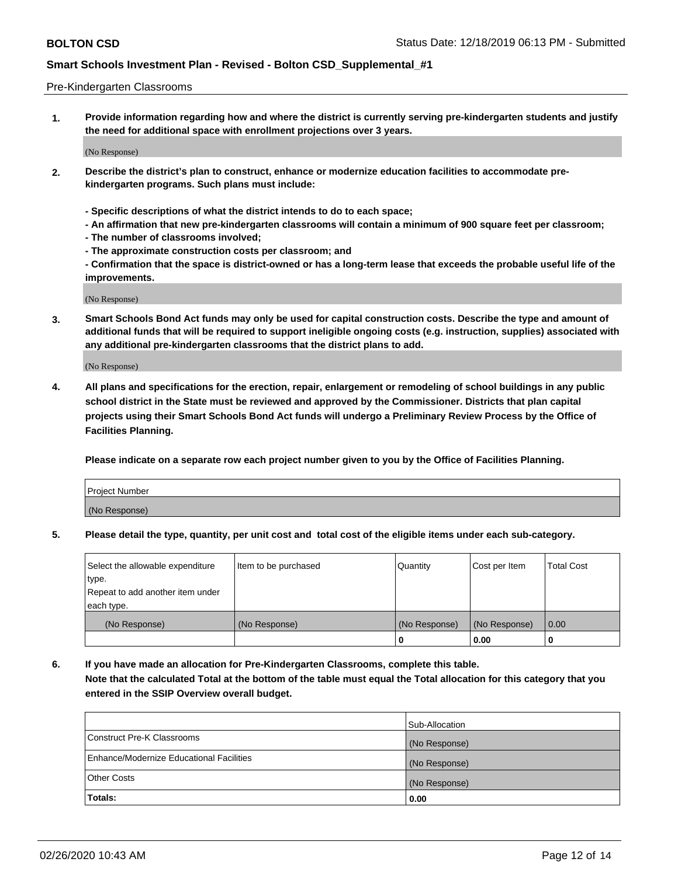### Pre-Kindergarten Classrooms

**1. Provide information regarding how and where the district is currently serving pre-kindergarten students and justify the need for additional space with enrollment projections over 3 years.**

(No Response)

- **2. Describe the district's plan to construct, enhance or modernize education facilities to accommodate prekindergarten programs. Such plans must include:**
	- **Specific descriptions of what the district intends to do to each space;**
	- **An affirmation that new pre-kindergarten classrooms will contain a minimum of 900 square feet per classroom;**
	- **The number of classrooms involved;**
	- **The approximate construction costs per classroom; and**
	- **Confirmation that the space is district-owned or has a long-term lease that exceeds the probable useful life of the improvements.**

(No Response)

**3. Smart Schools Bond Act funds may only be used for capital construction costs. Describe the type and amount of additional funds that will be required to support ineligible ongoing costs (e.g. instruction, supplies) associated with any additional pre-kindergarten classrooms that the district plans to add.**

(No Response)

**4. All plans and specifications for the erection, repair, enlargement or remodeling of school buildings in any public school district in the State must be reviewed and approved by the Commissioner. Districts that plan capital projects using their Smart Schools Bond Act funds will undergo a Preliminary Review Process by the Office of Facilities Planning.**

**Please indicate on a separate row each project number given to you by the Office of Facilities Planning.**

| Project Number |  |
|----------------|--|
| (No Response)  |  |
|                |  |

**5. Please detail the type, quantity, per unit cost and total cost of the eligible items under each sub-category.**

| Select the allowable expenditure | Item to be purchased | Quantity      | Cost per Item | <b>Total Cost</b> |
|----------------------------------|----------------------|---------------|---------------|-------------------|
| type.                            |                      |               |               |                   |
| Repeat to add another item under |                      |               |               |                   |
| each type.                       |                      |               |               |                   |
| (No Response)                    | (No Response)        | (No Response) | (No Response) | 0.00              |
|                                  |                      | U             | 0.00          |                   |

**6. If you have made an allocation for Pre-Kindergarten Classrooms, complete this table. Note that the calculated Total at the bottom of the table must equal the Total allocation for this category that you entered in the SSIP Overview overall budget.**

|                                          | Sub-Allocation |
|------------------------------------------|----------------|
| Construct Pre-K Classrooms               | (No Response)  |
| Enhance/Modernize Educational Facilities | (No Response)  |
| <b>Other Costs</b>                       | (No Response)  |
| Totals:                                  | 0.00           |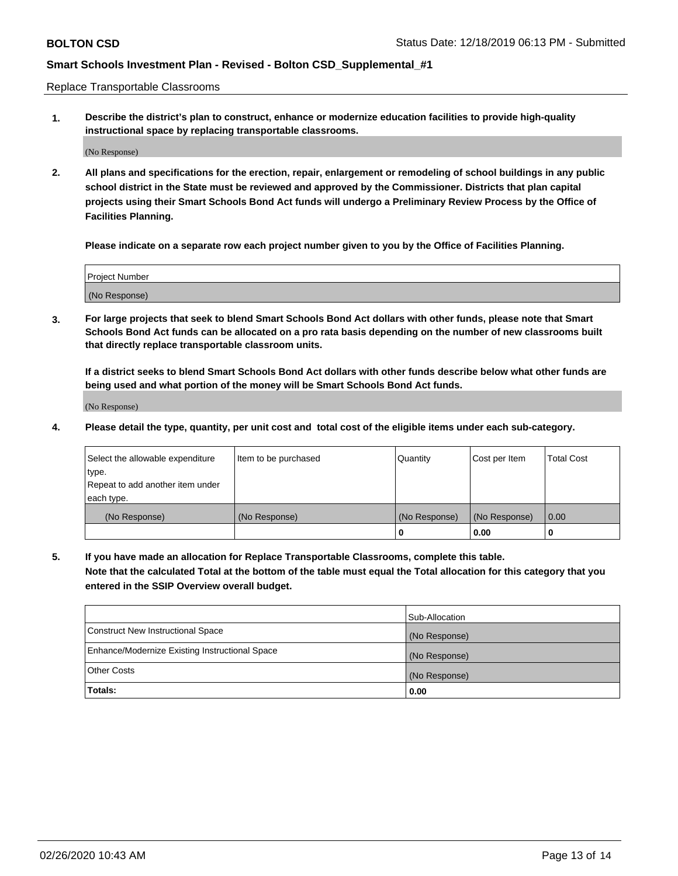Replace Transportable Classrooms

**1. Describe the district's plan to construct, enhance or modernize education facilities to provide high-quality instructional space by replacing transportable classrooms.**

(No Response)

**2. All plans and specifications for the erection, repair, enlargement or remodeling of school buildings in any public school district in the State must be reviewed and approved by the Commissioner. Districts that plan capital projects using their Smart Schools Bond Act funds will undergo a Preliminary Review Process by the Office of Facilities Planning.**

**Please indicate on a separate row each project number given to you by the Office of Facilities Planning.**

| Project Number |  |
|----------------|--|
|                |  |
|                |  |
|                |  |
| (No Response)  |  |
|                |  |
|                |  |

**3. For large projects that seek to blend Smart Schools Bond Act dollars with other funds, please note that Smart Schools Bond Act funds can be allocated on a pro rata basis depending on the number of new classrooms built that directly replace transportable classroom units.**

**If a district seeks to blend Smart Schools Bond Act dollars with other funds describe below what other funds are being used and what portion of the money will be Smart Schools Bond Act funds.**

(No Response)

**4. Please detail the type, quantity, per unit cost and total cost of the eligible items under each sub-category.**

| Select the allowable expenditure | Item to be purchased | Quantity      | Cost per Item | Total Cost |
|----------------------------------|----------------------|---------------|---------------|------------|
| ∣type.                           |                      |               |               |            |
| Repeat to add another item under |                      |               |               |            |
| each type.                       |                      |               |               |            |
| (No Response)                    | (No Response)        | (No Response) | (No Response) | 0.00       |
|                                  |                      | u             | 0.00          |            |

**5. If you have made an allocation for Replace Transportable Classrooms, complete this table. Note that the calculated Total at the bottom of the table must equal the Total allocation for this category that you entered in the SSIP Overview overall budget.**

|                                                | Sub-Allocation |
|------------------------------------------------|----------------|
| Construct New Instructional Space              | (No Response)  |
| Enhance/Modernize Existing Instructional Space | (No Response)  |
| Other Costs                                    | (No Response)  |
| Totals:                                        | 0.00           |